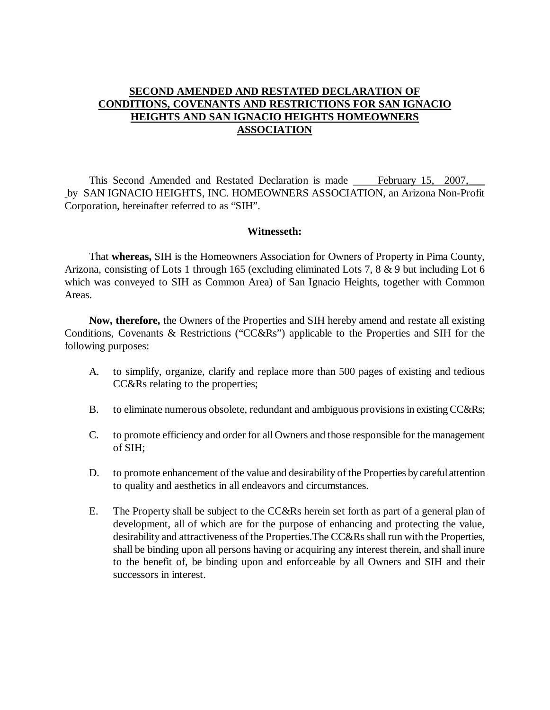## **SECOND AMENDED AND RESTATED DECLARATION OF CONDITIONS, COVENANTS AND RESTRICTIONS FOR SAN IGNACIO HEIGHTS AND SAN IGNACIO HEIGHTS HOMEOWNERS ASSOCIATION**

This Second Amended and Restated Declaration is made February 15, 2007, by SAN IGNACIO HEIGHTS, INC. HOMEOWNERS ASSOCIATION, an Arizona Non-Profit Corporation, hereinafter referred to as "SIH".

#### **Witnesseth:**

That **whereas,** SIH is the Homeowners Association for Owners of Property in Pima County, Arizona, consisting of Lots 1 through 165 (excluding eliminated Lots 7, 8 & 9 but including Lot 6 which was conveyed to SIH as Common Area) of San Ignacio Heights, together with Common Areas.

**Now, therefore,** the Owners of the Properties and SIH hereby amend and restate all existing Conditions, Covenants & Restrictions ("CC&Rs") applicable to the Properties and SIH for the following purposes:

- A. to simplify, organize, clarify and replace more than 500 pages of existing and tedious CC&Rs relating to the properties;
- B. to eliminate numerous obsolete, redundant and ambiguous provisions in existing CC&Rs;
- C. to promote efficiency and order for all Owners and those responsible for the management of SIH;
- D. to promote enhancement of the value and desirability of the Properties by careful attention to quality and aesthetics in all endeavors and circumstances.
- E. The Property shall be subject to the CC&Rs herein set forth as part of a general plan of development, all of which are for the purpose of enhancing and protecting the value, desirability and attractiveness of the Properties.The CC&Rs shall run with the Properties, shall be binding upon all persons having or acquiring any interest therein, and shall inure to the benefit of, be binding upon and enforceable by all Owners and SIH and their successors in interest.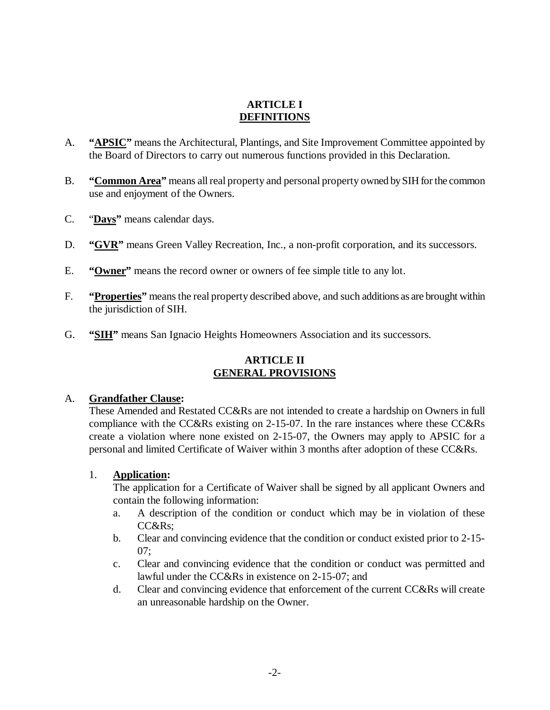## **ARTICLE I DEFINITIONS**

- A. **"APSIC"** means the Architectural, Plantings, and Site Improvement Committee appointed by the Board of Directors to carry out numerous functions provided in this Declaration.
- B. **"Common Area"** means all real property and personal property owned by SIH forthe common use and enjoyment of the Owners.
- C. "**Days"** means calendar days.
- D. **"GVR"** means Green Valley Recreation, Inc., a non-profit corporation, and its successors.
- E. **"Owner"** means the record owner or owners of fee simple title to any lot.
- F. **"Properties"** means the real property described above, and such additions as are brought within the jurisdiction of SIH.
- G. **"SIH"** means San Ignacio Heights Homeowners Association and its successors.

# **ARTICLE II GENERAL PROVISIONS**

#### A. **Grandfather Clause:**

These Amended and Restated CC&Rs are not intended to create a hardship on Owners in full compliance with the CC&Rs existing on 2-15-07. In the rare instances where these CC&Rs create a violation where none existed on 2-15-07, the Owners may apply to APSIC for a personal and limited Certificate of Waiver within 3 months after adoption of these CC&Rs.

#### 1. **Application:**

The application for a Certificate of Waiver shall be signed by all applicant Owners and contain the following information:

- a. A description of the condition or conduct which may be in violation of these CC&Rs;
- b. Clear and convincing evidence that the condition or conduct existed prior to 2-15- 07;
- c. Clear and convincing evidence that the condition or conduct was permitted and lawful under the CC&Rs in existence on 2-15-07; and
- d. Clear and convincing evidence that enforcement of the current CC&Rs will create an unreasonable hardship on the Owner.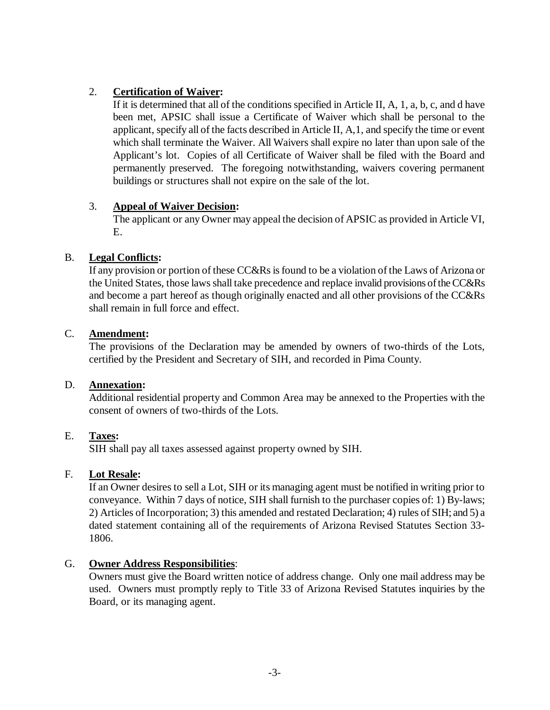# 2. **Certification of Waiver:**

If it is determined that all of the conditions specified in Article II, A, 1, a, b, c, and d have been met, APSIC shall issue a Certificate of Waiver which shall be personal to the applicant, specify all of the facts described in Article II, A,1, and specify the time or event which shall terminate the Waiver. All Waivers shall expire no later than upon sale of the Applicant's lot. Copies of all Certificate of Waiver shall be filed with the Board and permanently preserved. The foregoing notwithstanding, waivers covering permanent buildings or structures shall not expire on the sale of the lot.

## 3. **Appeal of Waiver Decision:**

The applicant or any Owner may appeal the decision of APSIC as provided in Article VI, E.

# B. **Legal Conflicts:**

If any provision or portion of these CC&Rs is found to be a violation of the Laws of Arizona or the United States, those laws shall take precedence and replace invalid provisions of theCC&Rs and become a part hereof as though originally enacted and all other provisions of the CC&Rs shall remain in full force and effect.

## C. **Amendment:**

The provisions of the Declaration may be amended by owners of two-thirds of the Lots, certified by the President and Secretary of SIH, and recorded in Pima County.

## D. **Annexation:**

Additional residential property and Common Area may be annexed to the Properties with the consent of owners of two-thirds of the Lots.

## E. **Taxes:**

SIH shall pay all taxes assessed against property owned by SIH.

## F. **Lot Resale:**

If an Owner desires to sell a Lot, SIH or its managing agent must be notified in writing prior to conveyance. Within 7 days of notice, SIH shall furnish to the purchaser copies of: 1) By-laws; 2) Articles of Incorporation; 3) this amended and restated Declaration; 4) rules of SIH; and 5) a dated statement containing all of the requirements of Arizona Revised Statutes Section 33- 1806.

## G. **Owner Address Responsibilities**:

Owners must give the Board written notice of address change. Only one mail address may be used. Owners must promptly reply to Title 33 of Arizona Revised Statutes inquiries by the Board, or its managing agent.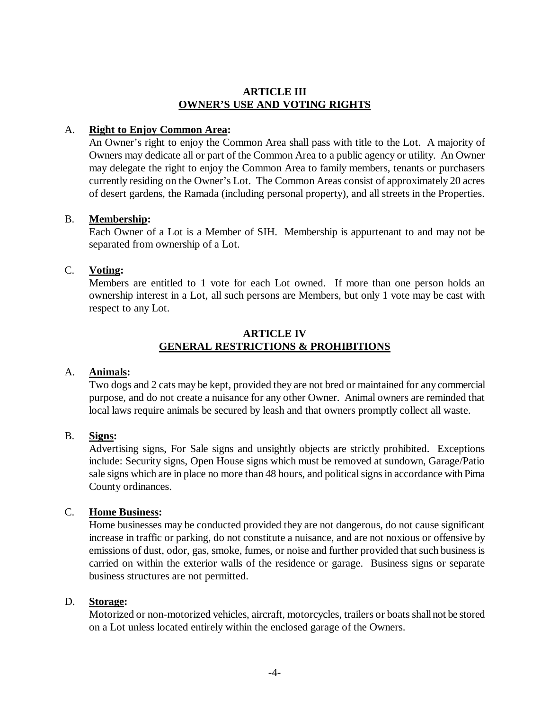#### **ARTICLE III OWNER'S USE AND VOTING RIGHTS**

### A. **Right to Enjoy Common Area:**

An Owner's right to enjoy the Common Area shall pass with title to the Lot. A majority of Owners may dedicate all or part of the Common Area to a public agency or utility. An Owner may delegate the right to enjoy the Common Area to family members, tenants or purchasers currently residing on the Owner's Lot. The Common Areas consist of approximately 20 acres of desert gardens, the Ramada (including personal property), and all streets in the Properties.

### B. **Membership:**

Each Owner of a Lot is a Member of SIH. Membership is appurtenant to and may not be separated from ownership of a Lot.

### C. **Voting:**

Members are entitled to 1 vote for each Lot owned. If more than one person holds an ownership interest in a Lot, all such persons are Members, but only 1 vote may be cast with respect to any Lot.

### **ARTICLE IV GENERAL RESTRICTIONS & PROHIBITIONS**

#### A. **Animals:**

Two dogs and 2 cats may be kept, provided they are not bred or maintained for any commercial purpose, and do not create a nuisance for any other Owner. Animal owners are reminded that local laws require animals be secured by leash and that owners promptly collect all waste.

#### B. **Signs:**

Advertising signs, For Sale signs and unsightly objects are strictly prohibited. Exceptions include: Security signs, Open House signs which must be removed at sundown, Garage/Patio sale signs which are in place no more than 48 hours, and political signs in accordance with Pima County ordinances.

#### C. **Home Business:**

Home businesses may be conducted provided they are not dangerous, do not cause significant increase in traffic or parking, do not constitute a nuisance, and are not noxious or offensive by emissions of dust, odor, gas, smoke, fumes, or noise and further provided that such business is carried on within the exterior walls of the residence or garage. Business signs or separate business structures are not permitted.

#### D. **Storage:**

Motorized or non-motorized vehicles, aircraft, motorcycles, trailers or boats shall not be stored on a Lot unless located entirely within the enclosed garage of the Owners.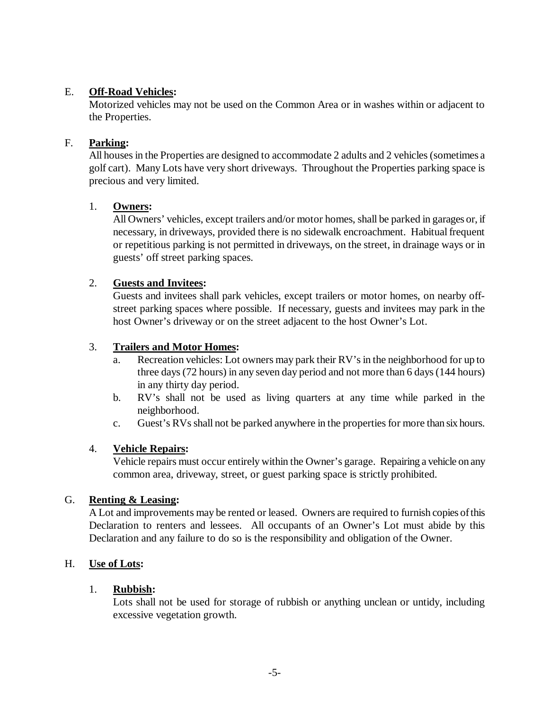## E. **Off-Road Vehicles:**

Motorized vehicles may not be used on the Common Area or in washes within or adjacent to the Properties.

### F. **Parking:**

All houses in the Properties are designed to accommodate 2 adults and 2 vehicles (sometimes a golf cart). Many Lots have very short driveways. Throughout the Properties parking space is precious and very limited.

## 1. **Owners:**

All Owners' vehicles, except trailers and/or motor homes, shall be parked in garages or, if necessary, in driveways, provided there is no sidewalk encroachment. Habitual frequent or repetitious parking is not permitted in driveways, on the street, in drainage ways or in guests' off street parking spaces.

### 2. **Guests and Invitees:**

Guests and invitees shall park vehicles, except trailers or motor homes, on nearby offstreet parking spaces where possible. If necessary, guests and invitees may park in the host Owner's driveway or on the street adjacent to the host Owner's Lot.

### 3. **Trailers and Motor Homes:**

- a. Recreation vehicles: Lot owners may park their RV's in the neighborhood for up to three days (72 hours) in any seven day period and not more than 6 days (144 hours) in any thirty day period.
- b. RV's shall not be used as living quarters at any time while parked in the neighborhood.
- c. Guest's RVs shall not be parked anywhere in the properties for more than six hours.

## 4. **Vehicle Repairs:**

Vehicle repairs must occur entirely within the Owner's garage. Repairing a vehicle on any common area, driveway, street, or guest parking space is strictly prohibited.

#### G. **Renting & Leasing:**

A Lot and improvements may be rented or leased. Owners are required to furnish copies of this Declaration to renters and lessees. All occupants of an Owner's Lot must abide by this Declaration and any failure to do so is the responsibility and obligation of the Owner.

#### H. **Use of Lots:**

## 1. **Rubbish:**

Lots shall not be used for storage of rubbish or anything unclean or untidy, including excessive vegetation growth.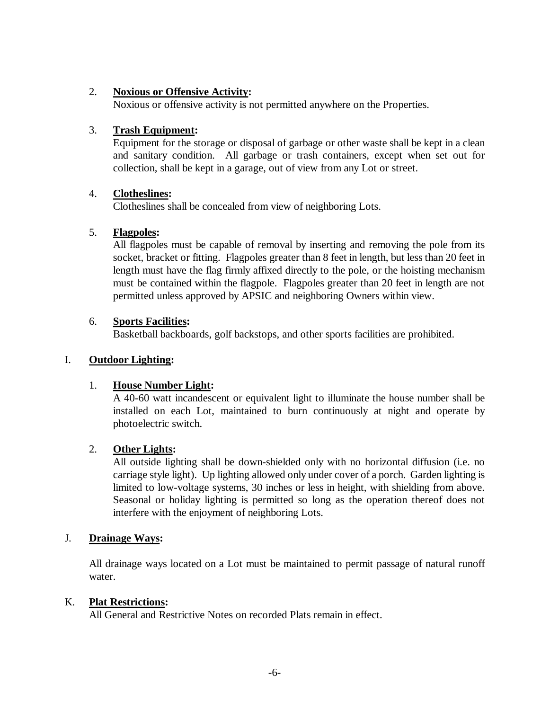## 2. **Noxious or Offensive Activity:**

Noxious or offensive activity is not permitted anywhere on the Properties.

# 3. **Trash Equipment:**

Equipment for the storage or disposal of garbage or other waste shall be kept in a clean and sanitary condition. All garbage or trash containers, except when set out for collection, shall be kept in a garage, out of view from any Lot or street.

# 4. **Clotheslines:**

Clotheslines shall be concealed from view of neighboring Lots.

# 5. **Flagpoles:**

All flagpoles must be capable of removal by inserting and removing the pole from its socket, bracket or fitting. Flagpoles greater than 8 feet in length, but less than 20 feet in length must have the flag firmly affixed directly to the pole, or the hoisting mechanism must be contained within the flagpole. Flagpoles greater than 20 feet in length are not permitted unless approved by APSIC and neighboring Owners within view.

# 6. **Sports Facilities:**

Basketball backboards, golf backstops, and other sports facilities are prohibited.

# I. **Outdoor Lighting:**

# 1. **House Number Light:**

A 40-60 watt incandescent or equivalent light to illuminate the house number shall be installed on each Lot, maintained to burn continuously at night and operate by photoelectric switch.

# 2. **Other Lights:**

All outside lighting shall be down-shielded only with no horizontal diffusion (i.e. no carriage style light). Up lighting allowed only under cover of a porch. Garden lighting is limited to low-voltage systems, 30 inches or less in height, with shielding from above. Seasonal or holiday lighting is permitted so long as the operation thereof does not interfere with the enjoyment of neighboring Lots.

## J. **Drainage Ways:**

All drainage ways located on a Lot must be maintained to permit passage of natural runoff water.

## K. **Plat Restrictions:**

All General and Restrictive Notes on recorded Plats remain in effect.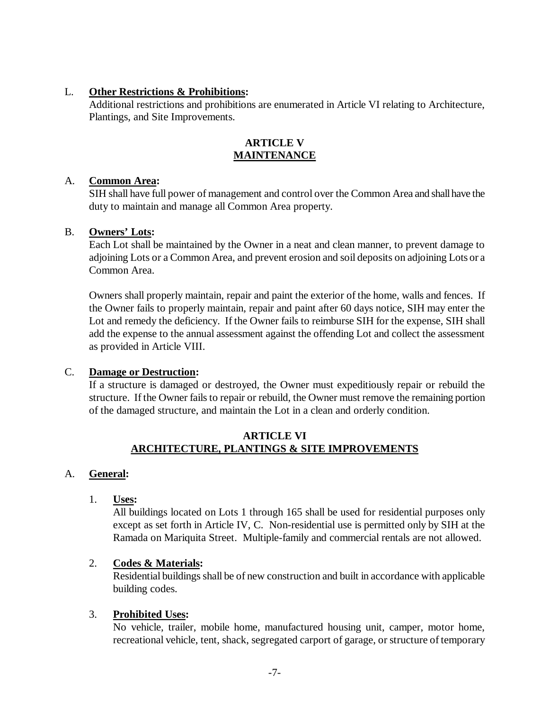### L. **Other Restrictions & Prohibitions:**

Additional restrictions and prohibitions are enumerated in Article VI relating to Architecture, Plantings, and Site Improvements.

## **ARTICLE V MAINTENANCE**

#### A. **Common Area:**

SIH shall have full power of management and control over the Common Area and shall have the duty to maintain and manage all Common Area property.

### B. **Owners' Lots:**

Each Lot shall be maintained by the Owner in a neat and clean manner, to prevent damage to adjoining Lots or a Common Area, and prevent erosion and soil deposits on adjoining Lots or a Common Area.

Owners shall properly maintain, repair and paint the exterior of the home, walls and fences. If the Owner fails to properly maintain, repair and paint after 60 days notice, SIH may enter the Lot and remedy the deficiency. If the Owner fails to reimburse SIH for the expense, SIH shall add the expense to the annual assessment against the offending Lot and collect the assessment as provided in Article VIII.

## C. **Damage or Destruction:**

If a structure is damaged or destroyed, the Owner must expeditiously repair or rebuild the structure. If the Owner fails to repair or rebuild, the Owner must remove the remaining portion of the damaged structure, and maintain the Lot in a clean and orderly condition.

## **ARTICLE VI ARCHITECTURE, PLANTINGS & SITE IMPROVEMENTS**

## A. **General:**

1. **Uses:**

All buildings located on Lots 1 through 165 shall be used for residential purposes only except as set forth in Article IV, C. Non-residential use is permitted only by SIH at the Ramada on Mariquita Street. Multiple-family and commercial rentals are not allowed.

## 2. **Codes & Materials:**

Residential buildings shall be of new construction and built in accordance with applicable building codes.

## 3. **Prohibited Uses:**

No vehicle, trailer, mobile home, manufactured housing unit, camper, motor home, recreational vehicle, tent, shack, segregated carport of garage, or structure of temporary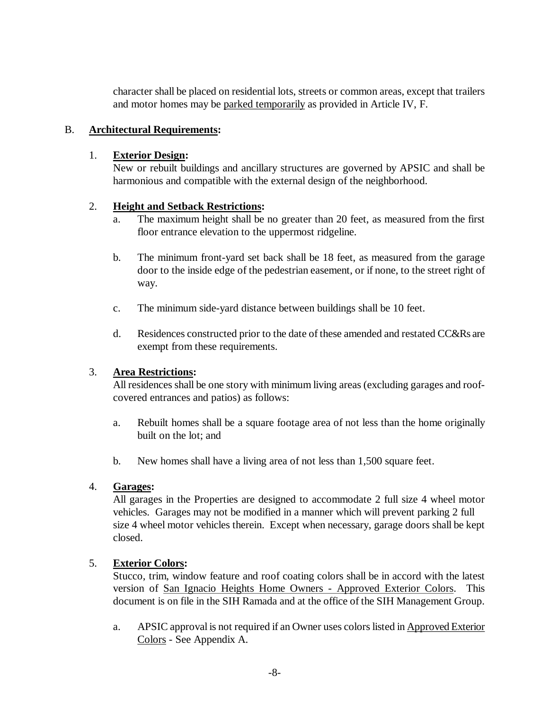character shall be placed on residential lots, streets or common areas, except that trailers and motor homes may be parked temporarily as provided in Article IV, F.

## B. **Architectural Requirements:**

## 1. **Exterior Design:**

New or rebuilt buildings and ancillary structures are governed by APSIC and shall be harmonious and compatible with the external design of the neighborhood.

# 2. **Height and Setback Restrictions:**

- a. The maximum height shall be no greater than 20 feet, as measured from the first floor entrance elevation to the uppermost ridgeline.
- b. The minimum front-yard set back shall be 18 feet, as measured from the garage door to the inside edge of the pedestrian easement, or if none, to the street right of way.
- c. The minimum side-yard distance between buildings shall be 10 feet.
- d. Residences constructed prior to the date of these amended and restated CC&Rs are exempt from these requirements.

## 3. **Area Restrictions:**

All residences shall be one story with minimum living areas (excluding garages and roofcovered entrances and patios) as follows:

- a. Rebuilt homes shall be a square footage area of not less than the home originally built on the lot; and
- b. New homes shall have a living area of not less than 1,500 square feet.

# 4. **Garages:**

All garages in the Properties are designed to accommodate 2 full size 4 wheel motor vehicles. Garages may not be modified in a manner which will prevent parking 2 full size 4 wheel motor vehicles therein. Except when necessary, garage doors shall be kept closed.

## 5. **Exterior Colors:**

Stucco, trim, window feature and roof coating colors shall be in accord with the latest version of San Ignacio Heights Home Owners - Approved Exterior Colors. This document is on file in the SIH Ramada and at the office of the SIH Management Group.

a. APSIC approval is not required if an Owner uses colors listed in Approved Exterior Colors - See Appendix A.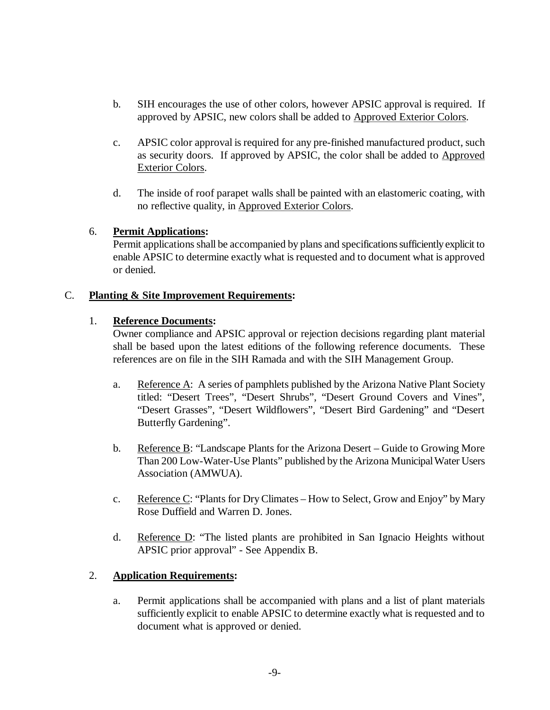- b. SIH encourages the use of other colors, however APSIC approval is required. If approved by APSIC, new colors shall be added to Approved Exterior Colors.
- c. APSIC color approval is required for any pre-finished manufactured product, such as security doors. If approved by APSIC, the color shall be added to Approved Exterior Colors.
- d. The inside of roof parapet walls shall be painted with an elastomeric coating, with no reflective quality, in Approved Exterior Colors.

# 6. **Permit Applications:**

Permit applications shall be accompanied by plans and specifications sufficiently explicit to enable APSIC to determine exactly what is requested and to document what is approved or denied.

# C. **Planting & Site Improvement Requirements:**

# 1. **Reference Documents:**

Owner compliance and APSIC approval or rejection decisions regarding plant material shall be based upon the latest editions of the following reference documents. These references are on file in the SIH Ramada and with the SIH Management Group.

- a. Reference A: A series of pamphlets published by the Arizona Native Plant Society titled: "Desert Trees", "Desert Shrubs", "Desert Ground Covers and Vines", "Desert Grasses", "Desert Wildflowers", "Desert Bird Gardening" and "Desert Butterfly Gardening".
- b. Reference B: "Landscape Plants for the Arizona Desert Guide to Growing More Than 200 Low-Water-Use Plants" published by the Arizona Municipal Water Users Association (AMWUA).
- c. Reference C: "Plants for Dry Climates How to Select, Grow and Enjoy" by Mary Rose Duffield and Warren D. Jones.
- d. Reference D: "The listed plants are prohibited in San Ignacio Heights without APSIC prior approval" - See Appendix B.

# 2. **Application Requirements:**

a. Permit applications shall be accompanied with plans and a list of plant materials sufficiently explicit to enable APSIC to determine exactly what is requested and to document what is approved or denied.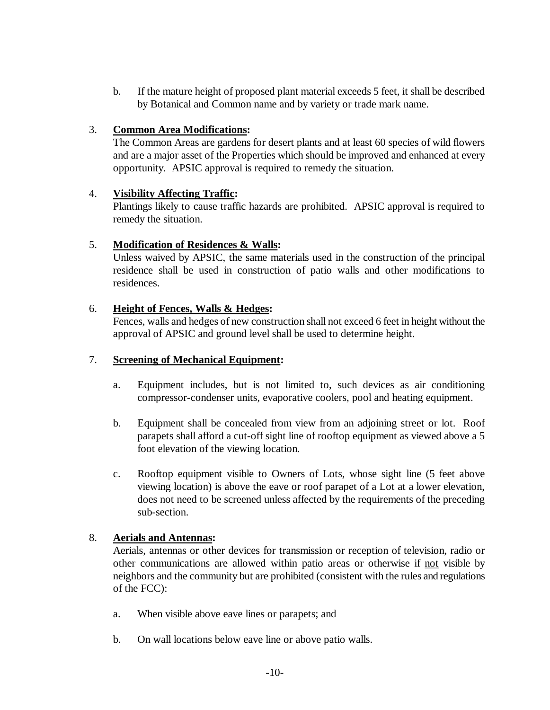b. If the mature height of proposed plant material exceeds 5 feet, it shall be described by Botanical and Common name and by variety or trade mark name.

## 3. **Common Area Modifications:**

The Common Areas are gardens for desert plants and at least 60 species of wild flowers and are a major asset of the Properties which should be improved and enhanced at every opportunity. APSIC approval is required to remedy the situation.

## 4. **Visibility Affecting Traffic:**

Plantings likely to cause traffic hazards are prohibited. APSIC approval is required to remedy the situation.

## 5. **Modification of Residences & Walls:**

Unless waived by APSIC, the same materials used in the construction of the principal residence shall be used in construction of patio walls and other modifications to residences.

### 6. **Height of Fences, Walls & Hedges:**

Fences, walls and hedges of new construction shall not exceed 6 feet in height without the approval of APSIC and ground level shall be used to determine height.

### 7. **Screening of Mechanical Equipment:**

- a. Equipment includes, but is not limited to, such devices as air conditioning compressor-condenser units, evaporative coolers, pool and heating equipment.
- b. Equipment shall be concealed from view from an adjoining street or lot. Roof parapets shall afford a cut-off sight line of rooftop equipment as viewed above a 5 foot elevation of the viewing location.
- c. Rooftop equipment visible to Owners of Lots, whose sight line (5 feet above viewing location) is above the eave or roof parapet of a Lot at a lower elevation, does not need to be screened unless affected by the requirements of the preceding sub-section.

## 8. **Aerials and Antennas:**

Aerials, antennas or other devices for transmission or reception of television, radio or other communications are allowed within patio areas or otherwise if not visible by neighbors and the community but are prohibited (consistent with the rules and regulations of the FCC):

- a. When visible above eave lines or parapets; and
- b. On wall locations below eave line or above patio walls.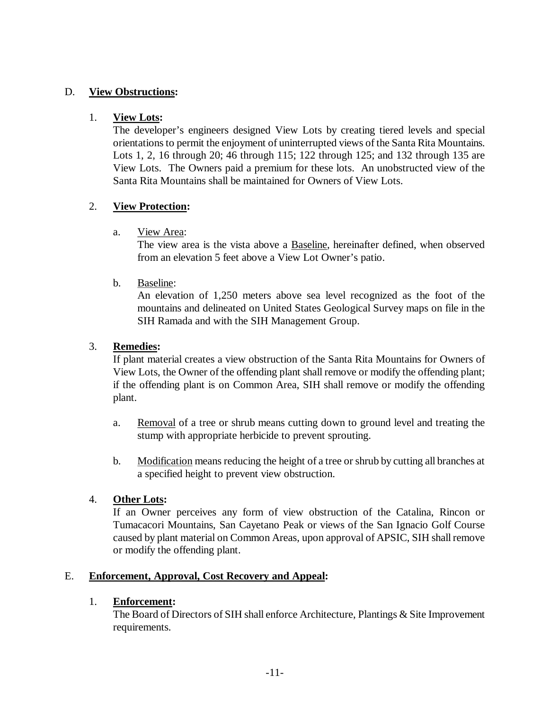## D. **View Obstructions:**

### 1. **View Lots:**

The developer's engineers designed View Lots by creating tiered levels and special orientations to permit the enjoyment of uninterrupted views of the Santa Rita Mountains. Lots 1, 2, 16 through 20; 46 through 115; 122 through 125; and 132 through 135 are View Lots. The Owners paid a premium for these lots. An unobstructed view of the Santa Rita Mountains shall be maintained for Owners of View Lots.

## 2. **View Protection:**

a. View Area:

The view area is the vista above a Baseline, hereinafter defined, when observed from an elevation 5 feet above a View Lot Owner's patio.

### b. Baseline:

An elevation of 1,250 meters above sea level recognized as the foot of the mountains and delineated on United States Geological Survey maps on file in the SIH Ramada and with the SIH Management Group.

### 3. **Remedies:**

If plant material creates a view obstruction of the Santa Rita Mountains for Owners of View Lots, the Owner of the offending plant shall remove or modify the offending plant; if the offending plant is on Common Area, SIH shall remove or modify the offending plant.

- a. Removal of a tree or shrub means cutting down to ground level and treating the stump with appropriate herbicide to prevent sprouting.
- b. Modification means reducing the height of a tree or shrub by cutting all branches at a specified height to prevent view obstruction.

## 4. **Other Lots:**

If an Owner perceives any form of view obstruction of the Catalina, Rincon or Tumacacori Mountains, San Cayetano Peak or views of the San Ignacio Golf Course caused by plant material on Common Areas, upon approval of APSIC, SIH shall remove or modify the offending plant.

## E. **Enforcement, Approval, Cost Recovery and Appeal:**

## 1. **Enforcement:**

The Board of Directors of SIH shall enforce Architecture, Plantings & Site Improvement requirements.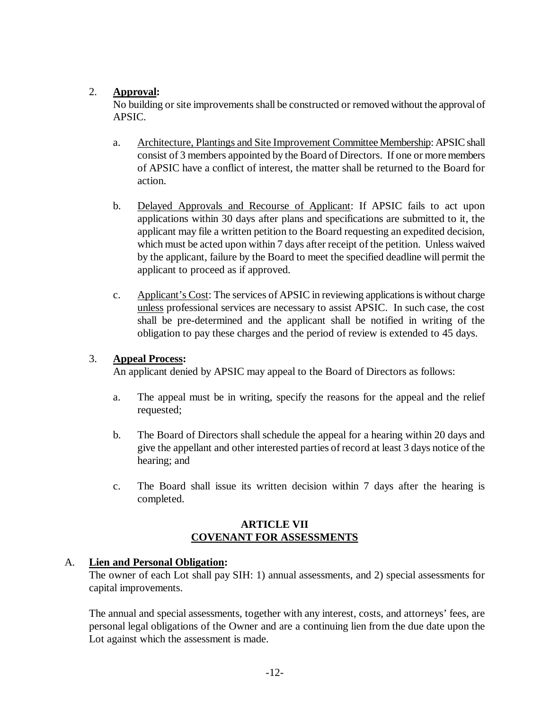# 2. **Approval:**

No building or site improvements shall be constructed or removed without the approval of APSIC.

- a. Architecture, Plantings and Site Improvement Committee Membership: APSIC shall consist of 3 members appointed by the Board of Directors. If one or more members of APSIC have a conflict of interest, the matter shall be returned to the Board for action.
- b. Delayed Approvals and Recourse of Applicant: If APSIC fails to act upon applications within 30 days after plans and specifications are submitted to it, the applicant may file a written petition to the Board requesting an expedited decision, which must be acted upon within 7 days after receipt of the petition. Unless waived by the applicant, failure by the Board to meet the specified deadline will permit the applicant to proceed as if approved.
- c. Applicant's Cost: The services of APSIC in reviewing applicationsis without charge unless professional services are necessary to assist APSIC. In such case, the cost shall be pre-determined and the applicant shall be notified in writing of the obligation to pay these charges and the period of review is extended to 45 days.

## 3. **Appeal Process:**

An applicant denied by APSIC may appeal to the Board of Directors as follows:

- a. The appeal must be in writing, specify the reasons for the appeal and the relief requested;
- b. The Board of Directors shall schedule the appeal for a hearing within 20 days and give the appellant and other interested parties of record at least 3 days notice of the hearing; and
- c. The Board shall issue its written decision within 7 days after the hearing is completed.

## **ARTICLE VII COVENANT FOR ASSESSMENTS**

## A. **Lien and Personal Obligation:**

The owner of each Lot shall pay SIH: 1) annual assessments, and 2) special assessments for capital improvements.

The annual and special assessments, together with any interest, costs, and attorneys' fees, are personal legal obligations of the Owner and are a continuing lien from the due date upon the Lot against which the assessment is made.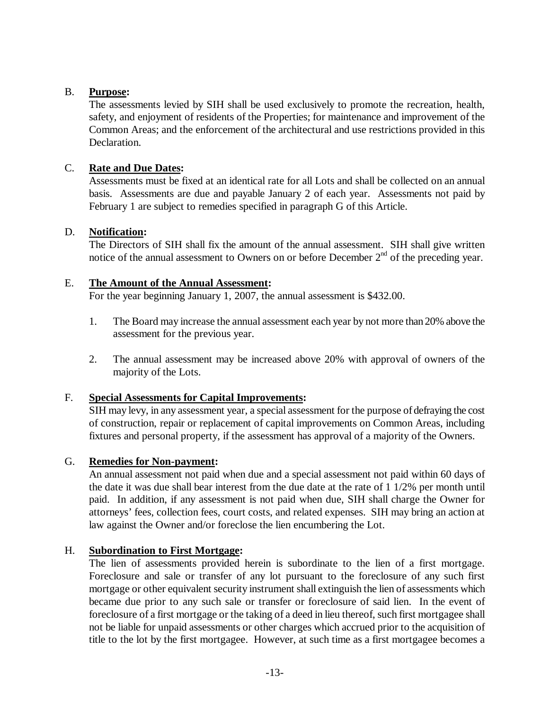### B. **Purpose:**

The assessments levied by SIH shall be used exclusively to promote the recreation, health, safety, and enjoyment of residents of the Properties; for maintenance and improvement of the Common Areas; and the enforcement of the architectural and use restrictions provided in this Declaration.

### C. **Rate and Due Dates:**

Assessments must be fixed at an identical rate for all Lots and shall be collected on an annual basis. Assessments are due and payable January 2 of each year. Assessments not paid by February 1 are subject to remedies specified in paragraph G of this Article.

#### D. **Notification:**

The Directors of SIH shall fix the amount of the annual assessment. SIH shall give written notice of the annual assessment to Owners on or before December  $2<sup>nd</sup>$  of the preceding year.

### E. **The Amount of the Annual Assessment:**

For the year beginning January 1, 2007, the annual assessment is \$432.00.

- 1. The Board may increase the annual assessment each year by not more than 20% above the assessment for the previous year.
- 2. The annual assessment may be increased above 20% with approval of owners of the majority of the Lots.

## F. **Special Assessments for Capital Improvements:**

SIH may levy, in any assessment year, a special assessment for the purpose of defraying the cost of construction, repair or replacement of capital improvements on Common Areas, including fixtures and personal property, if the assessment has approval of a majority of the Owners.

### G. **Remedies for Non-payment:**

An annual assessment not paid when due and a special assessment not paid within 60 days of the date it was due shall bear interest from the due date at the rate of 1 1/2% per month until paid. In addition, if any assessment is not paid when due, SIH shall charge the Owner for attorneys' fees, collection fees, court costs, and related expenses. SIH may bring an action at law against the Owner and/or foreclose the lien encumbering the Lot.

## H. **Subordination to First Mortgage:**

The lien of assessments provided herein is subordinate to the lien of a first mortgage. Foreclosure and sale or transfer of any lot pursuant to the foreclosure of any such first mortgage or other equivalent security instrument shall extinguish the lien of assessments which became due prior to any such sale or transfer or foreclosure of said lien. In the event of foreclosure of a first mortgage or the taking of a deed in lieu thereof, such first mortgagee shall not be liable for unpaid assessments or other charges which accrued prior to the acquisition of title to the lot by the first mortgagee. However, at such time as a first mortgagee becomes a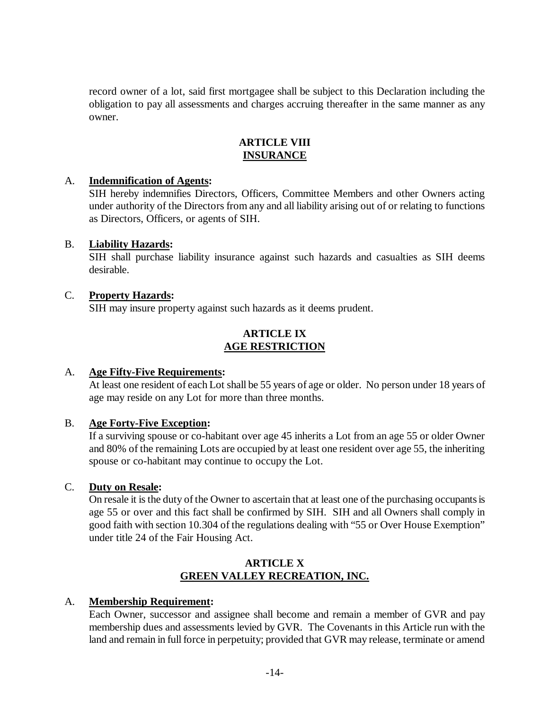record owner of a lot, said first mortgagee shall be subject to this Declaration including the obligation to pay all assessments and charges accruing thereafter in the same manner as any owner.

# **ARTICLE VIII INSURANCE**

### A. **Indemnification of Agents:**

SIH hereby indemnifies Directors, Officers, Committee Members and other Owners acting under authority of the Directors from any and all liability arising out of or relating to functions as Directors, Officers, or agents of SIH.

### B. **Liability Hazards:**

SIH shall purchase liability insurance against such hazards and casualties as SIH deems desirable.

### C. **Property Hazards:**

SIH may insure property against such hazards as it deems prudent.

## **ARTICLE IX AGE RESTRICTION**

#### A. **Age Fifty-Five Requirements:**

At least one resident of each Lot shall be 55 years of age or older. No person under 18 years of age may reside on any Lot for more than three months.

#### B. **Age Forty-Five Exception:**

If a surviving spouse or co-habitant over age 45 inherits a Lot from an age 55 or older Owner and 80% of the remaining Lots are occupied by at least one resident over age 55, the inheriting spouse or co-habitant may continue to occupy the Lot.

## C. **Duty on Resale:**

On resale it is the duty of the Owner to ascertain that at least one of the purchasing occupantsis age 55 or over and this fact shall be confirmed by SIH. SIH and all Owners shall comply in good faith with section 10.304 of the regulations dealing with "55 or Over House Exemption" under title 24 of the Fair Housing Act.

## **ARTICLE X GREEN VALLEY RECREATION, INC.**

## A. **Membership Requirement:**

Each Owner, successor and assignee shall become and remain a member of GVR and pay membership dues and assessments levied by GVR. The Covenants in this Article run with the land and remain in full force in perpetuity; provided that GVR may release, terminate or amend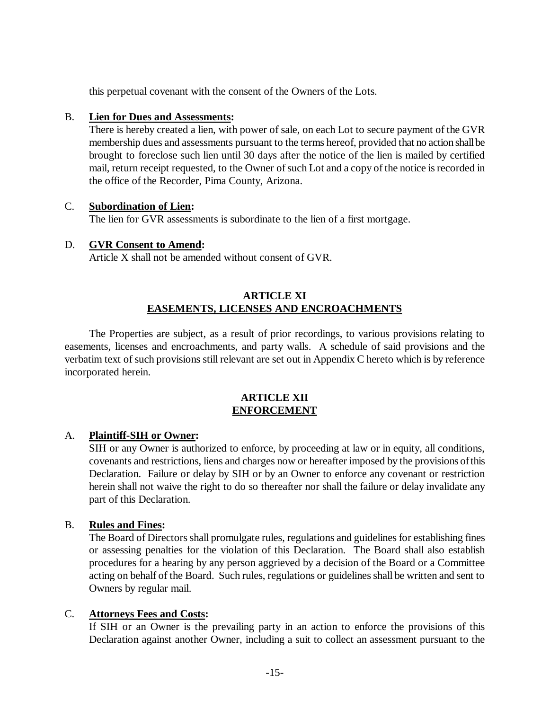this perpetual covenant with the consent of the Owners of the Lots.

### B. **Lien for Dues and Assessments:**

There is hereby created a lien, with power of sale, on each Lot to secure payment of the GVR membership dues and assessments pursuant to the terms hereof, provided that no action shall be brought to foreclose such lien until 30 days after the notice of the lien is mailed by certified mail, return receipt requested, to the Owner of such Lot and a copy of the notice is recorded in the office of the Recorder, Pima County, Arizona.

#### C. **Subordination of Lien:**

The lien for GVR assessments is subordinate to the lien of a first mortgage.

## D. **GVR Consent to Amend:**

Article X shall not be amended without consent of GVR.

### **ARTICLE XI EASEMENTS, LICENSES AND ENCROACHMENTS**

The Properties are subject, as a result of prior recordings, to various provisions relating to easements, licenses and encroachments, and party walls. A schedule of said provisions and the verbatim text of such provisions still relevant are set out in Appendix C hereto which is by reference incorporated herein.

### **ARTICLE XII ENFORCEMENT**

## A. **Plaintiff-SIH or Owner:**

SIH or any Owner is authorized to enforce, by proceeding at law or in equity, all conditions, covenants and restrictions, liens and charges now or hereafter imposed by the provisions of this Declaration. Failure or delay by SIH or by an Owner to enforce any covenant or restriction herein shall not waive the right to do so thereafter nor shall the failure or delay invalidate any part of this Declaration.

#### B. **Rules and Fines:**

The Board of Directors shall promulgate rules, regulations and guidelines for establishing fines or assessing penalties for the violation of this Declaration. The Board shall also establish procedures for a hearing by any person aggrieved by a decision of the Board or a Committee acting on behalf of the Board. Such rules, regulations or guidelines shall be written and sent to Owners by regular mail.

#### C. **Attorneys Fees and Costs:**

If SIH or an Owner is the prevailing party in an action to enforce the provisions of this Declaration against another Owner, including a suit to collect an assessment pursuant to the